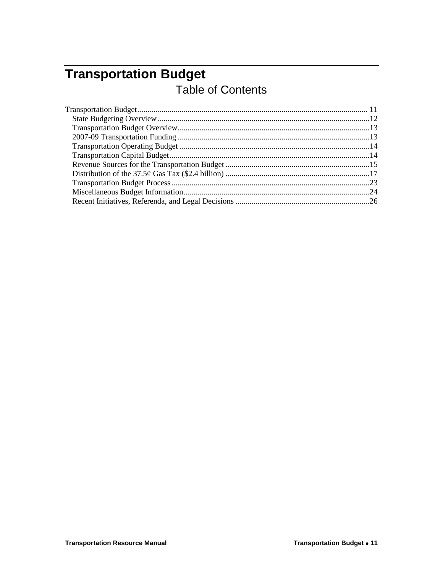# <span id="page-0-0"></span>**Transportation Budget** Table of Contents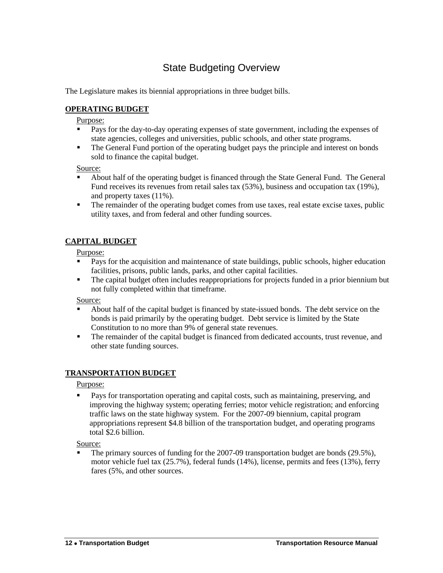## State Budgeting Overview

<span id="page-1-0"></span>The Legislature makes its biennial appropriations in three budget bills.

### **OPERATING BUDGET**

#### Purpose:

- Pays for the day-to-day operating expenses of state government, including the expenses of state agencies, colleges and universities, public schools, and other state programs.
- The General Fund portion of the operating budget pays the principle and interest on bonds sold to finance the capital budget.

#### Source:

- About half of the operating budget is financed through the State General Fund. The General Fund receives its revenues from retail sales tax (53%), business and occupation tax (19%), and property taxes (11%).
- The remainder of the operating budget comes from use taxes, real estate excise taxes, public utility taxes, and from federal and other funding sources.

### **CAPITAL BUDGET**

#### Purpose:

- Pays for the acquisition and maintenance of state buildings, public schools, higher education facilities, prisons, public lands, parks, and other capital facilities.
- The capital budget often includes reappropriations for projects funded in a prior biennium but not fully completed within that timeframe.

#### Source:

- About half of the capital budget is financed by state-issued bonds. The debt service on the bonds is paid primarily by the operating budget. Debt service is limited by the State Constitution to no more than 9% of general state revenues.
- The remainder of the capital budget is financed from dedicated accounts, trust revenue, and other state funding sources.

#### **TRANSPORTATION BUDGET**

Purpose:

 Pays for transportation operating and capital costs, such as maintaining, preserving, and improving the highway system; operating ferries; motor vehicle registration; and enforcing traffic laws on the state highway system. For the 2007-09 biennium, capital program appropriations represent \$4.8 billion of the transportation budget, and operating programs total \$2.6 billion.

#### Source:

 The primary sources of funding for the 2007-09 transportation budget are bonds (29.5%), motor vehicle fuel tax (25.7%), federal funds (14%), license, permits and fees (13%), ferry fares (5%, and other sources.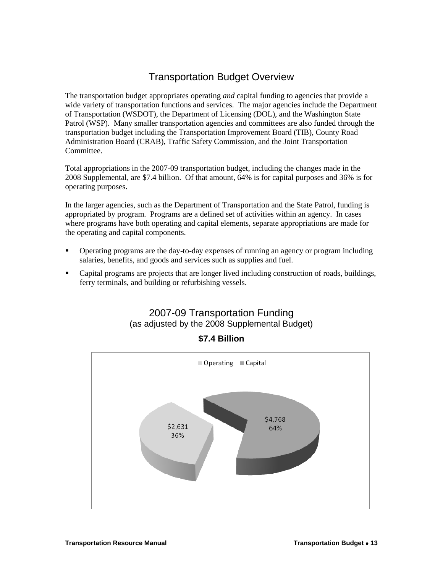## Transportation Budget Overview

<span id="page-2-0"></span>The transportation budget appropriates operating *and* capital funding to agencies that provide a wide variety of transportation functions and services. The major agencies include the Department of Transportation (WSDOT), the Department of Licensing (DOL), and the Washington State Patrol (WSP). Many smaller transportation agencies and committees are also funded through the transportation budget including the Transportation Improvement Board (TIB), County Road Administration Board (CRAB), Traffic Safety Commission, and the Joint Transportation Committee.

Total appropriations in the 2007-09 transportation budget, including the changes made in the 2008 Supplemental, are \$7.4 billion. Of that amount, 64% is for capital purposes and 36% is for operating purposes.

In the larger agencies, such as the Department of Transportation and the State Patrol, funding is appropriated by program. Programs are a defined set of activities within an agency. In cases where programs have both operating and capital elements, separate appropriations are made for the operating and capital components.

- Operating programs are the day-to-day expenses of running an agency or program including salaries, benefits, and goods and services such as supplies and fuel.
- <span id="page-2-1"></span>**•** Capital programs are projects that are longer lived including construction of roads, buildings, ferry terminals, and building or refurbishing vessels.

## 2007-09 Transportation Funding (as adjusted by the 2008 Supplemental Budget)



**\$7.4 Billion**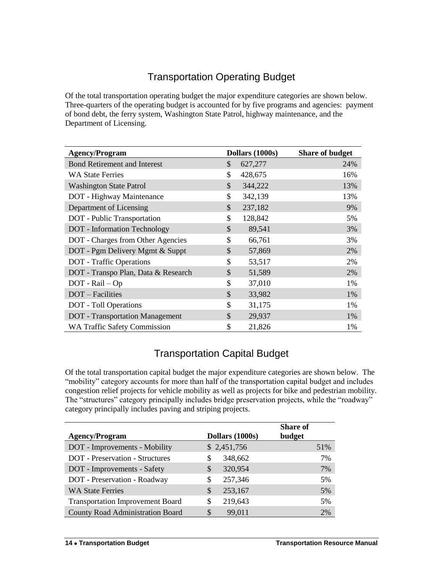## Transportation Operating Budget

<span id="page-3-0"></span>Of the total transportation operating budget the major expenditure categories are shown below. Three-quarters of the operating budget is accounted for by five programs and agencies: payment of bond debt, the ferry system, Washington State Patrol, highway maintenance, and the Department of Licensing.

| <b>Agency/Program</b>                  | Dollars (1000s) | <b>Share of budget</b> |
|----------------------------------------|-----------------|------------------------|
| <b>Bond Retirement and Interest</b>    | \$<br>627,277   | 24%                    |
| <b>WA State Ferries</b>                | \$<br>428,675   | 16%                    |
| <b>Washington State Patrol</b>         | \$<br>344,222   | 13%                    |
| DOT - Highway Maintenance              | \$<br>342,139   | 13%                    |
| Department of Licensing                | \$<br>237,182   | 9%                     |
| <b>DOT</b> - Public Transportation     | \$<br>128,842   | 5%                     |
| <b>DOT</b> - Information Technology    | \$<br>89,541    | 3%                     |
| DOT - Charges from Other Agencies      | \$<br>66,761    | 3%                     |
| DOT - Pgm Delivery Mgmt & Suppt        | \$<br>57,869    | 2%                     |
| <b>DOT</b> - Traffic Operations        | \$<br>53,517    | 2%                     |
| DOT - Transpo Plan, Data & Research    | \$<br>51,589    | 2%                     |
| $DOT - \text{Rail} - \text{Op}$        | \$<br>37,010    | 1%                     |
| DOT - Facilities                       | \$<br>33,982    | 1%                     |
| <b>DOT</b> - Toll Operations           | \$<br>31,175    | 1%                     |
| <b>DOT</b> - Transportation Management | \$<br>29,937    | 1%                     |
| <b>WA Traffic Safety Commission</b>    | \$<br>21,826    | 1%                     |

## Transportation Capital Budget

<span id="page-3-1"></span>Of the total transportation capital budget the major expenditure categories are shown below. The "mobility" category accounts for more than half of the transportation capital budget and includes congestion relief projects for vehicle mobility as well as projects for bike and pedestrian mobility. The "structures" category principally includes bridge preservation projects, while the "roadway" category principally includes paving and striping projects.

| <b>Agency/Program</b>                   | Dollars (1000s) | <b>Share of</b><br>budget |
|-----------------------------------------|-----------------|---------------------------|
| DOT - Improvements - Mobility           | \$2,451,756     | 51%                       |
| <b>DOT</b> - Preservation - Structures  | 348,662<br>S    | 7%                        |
| DOT - Improvements - Safety             | 320,954<br>S.   | 7%                        |
| DOT - Preservation - Roadway            | 257,346<br>S    | 5%                        |
| <b>WA State Ferries</b>                 | 253,167<br>S    | 5%                        |
| <b>Transportation Improvement Board</b> | 219,643<br>S    | 5%                        |
| <b>County Road Administration Board</b> | 99,011<br>S     | 2%                        |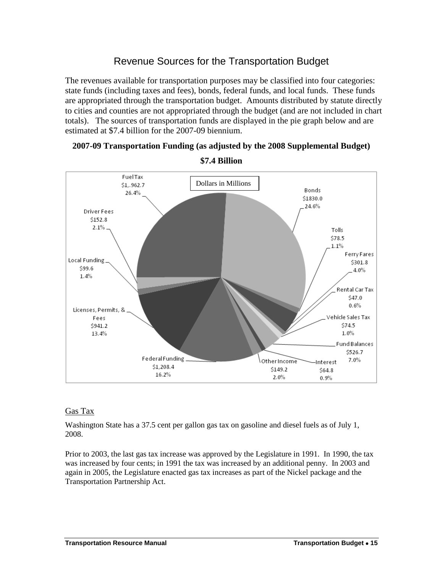## Revenue Sources for the Transportation Budget

<span id="page-4-0"></span>The revenues available for transportation purposes may be classified into four categories: state funds (including taxes and fees), bonds, federal funds, and local funds. These funds are appropriated through the transportation budget. Amounts distributed by statute directly to cities and counties are not appropriated through the budget (and are not included in chart totals). The sources of transportation funds are displayed in the pie graph below and are estimated at \$7.4 billion for the 2007-09 biennium.



**2007-09 Transportation Funding (as adjusted by the 2008 Supplemental Budget)**

## **\$7.4 Billion**

### Gas Tax

Washington State has a 37.5 cent per gallon gas tax on gasoline and diesel fuels as of July 1, 2008.

Prior to 2003, the last gas tax increase was approved by the Legislature in 1991. In 1990, the tax was increased by four cents; in 1991 the tax was increased by an additional penny. In 2003 and again in 2005, the Legislature enacted gas tax increases as part of the Nickel package and the Transportation Partnership Act.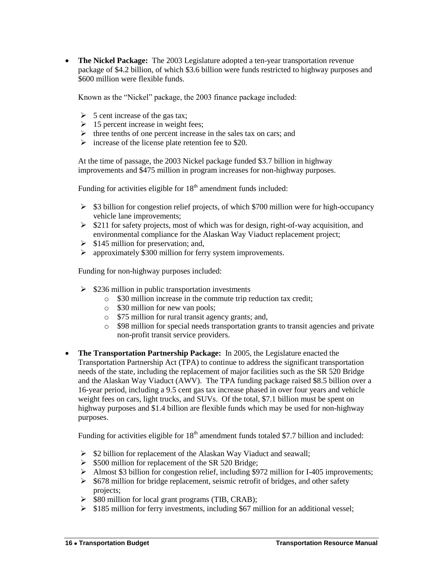**The Nickel Package:** The 2003 Legislature adopted a ten-year transportation revenue package of \$4.2 billion, of which \$3.6 billion were funds restricted to highway purposes and \$600 million were flexible funds.

Known as the "Nickel" package, the 2003 finance package included:

- $\triangleright$  5 cent increase of the gas tax;
- $\geq 15$  percent increase in weight fees;
- $\triangleright$  three tenths of one percent increase in the sales tax on cars; and
- $\triangleright$  increase of the license plate retention fee to \$20.

At the time of passage, the 2003 Nickel package funded \$3.7 billion in highway improvements and \$475 million in program increases for non-highway purposes.

Funding for activities eligible for  $18<sup>th</sup>$  amendment funds included:

- $\geq$  \$3 billion for congestion relief projects, of which \$700 million were for high-occupancy vehicle lane improvements;
- $\geq$  \$211 for safety projects, most of which was for design, right-of-way acquisition, and environmental compliance for the Alaskan Way Viaduct replacement project;
- $\triangleright$  \$145 million for preservation; and,
- $\triangleright$  approximately \$300 million for ferry system improvements.

Funding for non-highway purposes included:

- $\geq$  \$236 million in public transportation investments
	- o \$30 million increase in the commute trip reduction tax credit;
	- o \$30 million for new van pools;
	- o \$75 million for rural transit agency grants; and,
	- o \$98 million for special needs transportation grants to transit agencies and private non-profit transit service providers.
- **The Transportation Partnership Package:** In 2005, the Legislature enacted the Transportation Partnership Act (TPA) to continue to address the significant transportation needs of the state, including the replacement of major facilities such as the SR 520 Bridge and the Alaskan Way Viaduct (AWV). The TPA funding package raised \$8.5 billion over a 16-year period, including a 9.5 cent gas tax increase phased in over four years and vehicle weight fees on cars, light trucks, and SUVs. Of the total, \$7.1 billion must be spent on highway purposes and \$1.4 billion are flexible funds which may be used for non-highway purposes.

Funding for activities eligible for  $18<sup>th</sup>$  amendment funds totaled \$7.7 billion and included:

- $\triangleright$  \$2 billion for replacement of the Alaskan Way Viaduct and seawall;
- $\geq$  \$500 million for replacement of the SR 520 Bridge;
- $\triangleright$  Almost \$3 billion for congestion relief, including \$972 million for I-405 improvements;
- $\geq$  \$678 million for bridge replacement, seismic retrofit of bridges, and other safety projects;
- $\triangleright$  \$80 million for local grant programs (TIB, CRAB);
- $\geq$  \$185 million for ferry investments, including \$67 million for an additional vessel;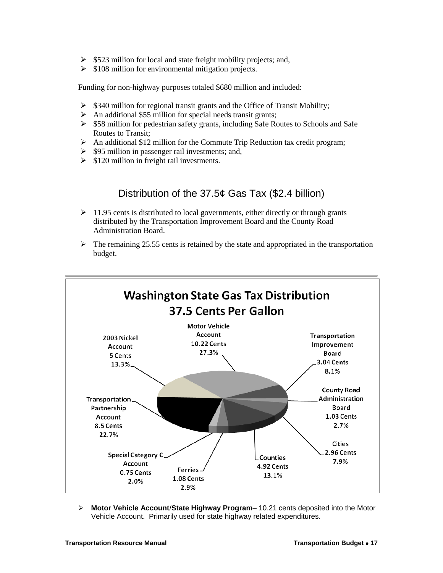- $\geq$  \$523 million for local and state freight mobility projects; and,
- $\geq$  \$108 million for environmental mitigation projects.

Funding for non-highway purposes totaled \$680 million and included:

- $\geq$  \$340 million for regional transit grants and the Office of Transit Mobility;
- $\triangleright$  An additional \$55 million for special needs transit grants;
- $\geq$  \$58 million for pedestrian safety grants, including Safe Routes to Schools and Safe Routes to Transit;
- $\triangleright$  An additional \$12 million for the Commute Trip Reduction tax credit program;
- $\triangleright$  \$95 million in passenger rail investments; and,
- <span id="page-6-0"></span> $\geq$  \$120 million in freight rail investments.

## Distribution of the 37.5¢ Gas Tax (\$2.4 billion)

- $\geq 11.95$  cents is distributed to local governments, either directly or through grants distributed by the Transportation Improvement Board and the County Road Administration Board.
- $\triangleright$  The remaining 25.55 cents is retained by the state and appropriated in the transportation budget.



 **Motor Vehicle Account**/**State Highway Program**– 10.21 cents deposited into the Motor Vehicle Account. Primarily used for state highway related expenditures.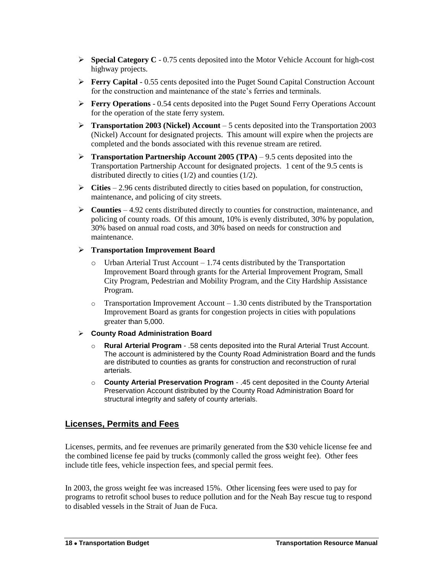- **Special Category C** 0.75 cents deposited into the Motor Vehicle Account for high-cost highway projects.
- **Ferry Capital** 0.55 cents deposited into the Puget Sound Capital Construction Account for the construction and maintenance of the state's ferries and terminals.
- **Ferry Operations** 0.54 cents deposited into the Puget Sound Ferry Operations Account for the operation of the state ferry system.
- **Transportation 2003 (Nickel) Account** 5 cents deposited into the Transportation 2003 (Nickel) Account for designated projects. This amount will expire when the projects are completed and the bonds associated with this revenue stream are retired.
- **►** Transportation Partnership Account 2005 (TPA) 9.5 cents deposited into the Transportation Partnership Account for designated projects. 1 cent of the 9.5 cents is distributed directly to cities (1/2) and counties (1/2).
- $\triangleright$  **Cities** 2.96 cents distributed directly to cities based on population, for construction, maintenance, and policing of city streets.
- $\triangleright$  **Counties** 4.92 cents distributed directly to counties for construction, maintenance, and policing of county roads. Of this amount, 10% is evenly distributed, 30% by population, 30% based on annual road costs, and 30% based on needs for construction and maintenance.

#### **Transportation Improvement Board**

- o Urban Arterial Trust Account 1.74 cents distributed by the Transportation Improvement Board through grants for the Arterial Improvement Program, Small City Program, Pedestrian and Mobility Program, and the City Hardship Assistance Program.
- $\circ$  Transportation Improvement Account 1.30 cents distributed by the Transportation Improvement Board as grants for congestion projects in cities with populations greater than 5,000.
- **County Road Administration Board**
	- o **Rural Arterial Program** .58 cents deposited into the Rural Arterial Trust Account. The account is administered by the County Road Administration Board and the funds are distributed to counties as grants for construction and reconstruction of rural arterials.
	- o **County Arterial Preservation Program** .45 cent deposited in the County Arterial Preservation Account distributed by the County Road Administration Board for structural integrity and safety of county arterials.

### **Licenses, Permits and Fees**

Licenses, permits, and fee revenues are primarily generated from the \$30 vehicle license fee and the combined license fee paid by trucks (commonly called the gross weight fee). Other fees include title fees, vehicle inspection fees, and special permit fees.

In 2003, the gross weight fee was increased 15%. Other licensing fees were used to pay for programs to retrofit school buses to reduce pollution and for the Neah Bay rescue tug to respond to disabled vessels in the Strait of Juan de Fuca.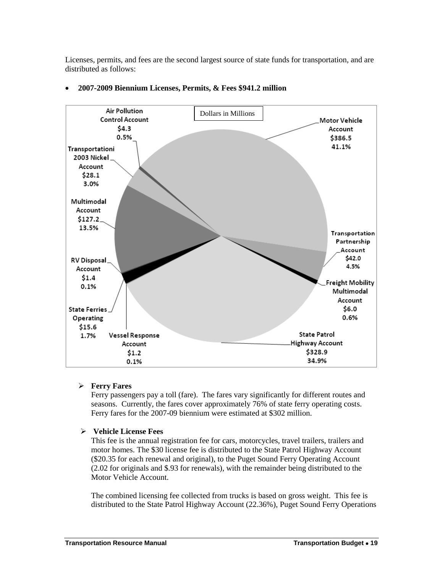Licenses, permits, and fees are the second largest source of state funds for transportation, and are distributed as follows:



#### **2007-2009 Biennium Licenses, Permits, & Fees \$941.2 million**

#### **Ferry Fares**

Ferry passengers pay a toll (fare). The fares vary significantly for different routes and seasons. Currently, the fares cover approximately 76% of state ferry operating costs. Ferry fares for the 2007-09 biennium were estimated at \$302 million.

#### **Vehicle License Fees**

This fee is the annual registration fee for cars, motorcycles, travel trailers, trailers and motor homes. The \$30 license fee is distributed to the State Patrol Highway Account (\$20.35 for each renewal and original), to the Puget Sound Ferry Operating Account (2.02 for originals and \$.93 for renewals), with the remainder being distributed to the Motor Vehicle Account.

The combined licensing fee collected from trucks is based on gross weight. This fee is distributed to the State Patrol Highway Account (22.36%), Puget Sound Ferry Operations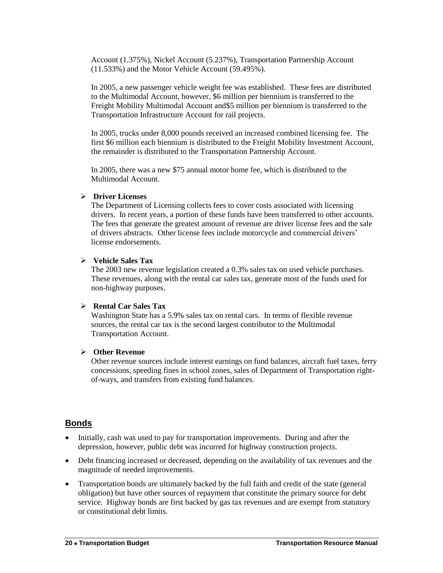Account (1.375%), Nickel Account (5.237%), Transportation Partnership Account (11.533%) and the Motor Vehicle Account (59.495%).

In 2005, a new passenger vehicle weight fee was established. These fees are distributed to the Multimodal Account, however, \$6 million per biennium is transferred to the Freight Mobility Multimodal Account and\$5 million per biennium is transferred to the Transportation Infrastructure Account for rail projects.

In 2005, trucks under 8,000 pounds received an increased combined licensing fee. The first \$6 million each biennium is distributed to the Freight Mobility Investment Account, the remainder is distributed to the Transportation Partnership Account.

In 2005, there was a new \$75 annual motor home fee, which is distributed to the Multimodal Account.

#### **Driver Licenses**

The Department of Licensing collects fees to cover costs associated with licensing drivers. In recent years, a portion of these funds have been transferred to other accounts. The fees that generate the greatest amount of revenue are driver license fees and the sale of drivers abstracts. Other license fees include motorcycle and commercial drivers' license endorsements.

#### **Vehicle Sales Tax**

The 2003 new revenue legislation created a 0.3% sales tax on used vehicle purchases. These revenues, along with the rental car sales tax, generate most of the funds used for non-highway purposes.

#### **Rental Car Sales Tax**

Washington State has a 5.9% sales tax on rental cars. In terms of flexible revenue sources, the rental car tax is the second largest contributor to the Multimodal Transportation Account.

#### **Other Revenue**

Other revenue sources include interest earnings on fund balances, aircraft fuel taxes, ferry concessions, speeding fines in school zones, sales of Department of Transportation rightof-ways, and transfers from existing fund balances.

#### **Bonds**

- Initially, cash was used to pay for transportation improvements. During and after the depression, however, public debt was incurred for highway construction projects.
- Debt financing increased or decreased, depending on the availability of tax revenues and the magnitude of needed improvements.
- Transportation bonds are ultimately backed by the full faith and credit of the state (general obligation) but have other sources of repayment that constitute the primary source for debt service. Highway bonds are first backed by gas tax revenues and are exempt from statutory or constitutional debt limits.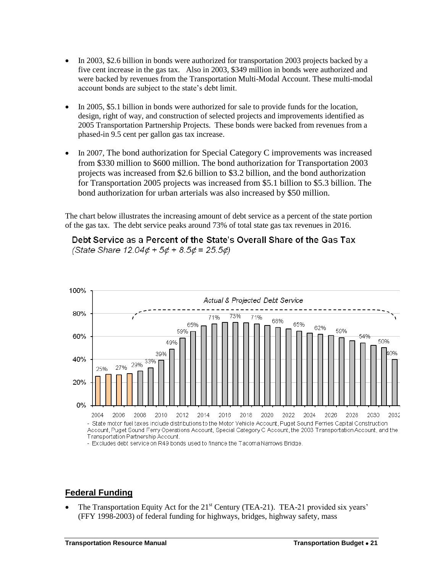- In 2003, \$2.6 billion in bonds were authorized for transportation 2003 projects backed by a five cent increase in the gas tax. Also in 2003, \$349 million in bonds were authorized and were backed by revenues from the Transportation Multi-Modal Account. These multi-modal account bonds are subject to the state's debt limit.
- In 2005, \$5.1 billion in bonds were authorized for sale to provide funds for the location, design, right of way, and construction of selected projects and improvements identified as 2005 Transportation Partnership Projects. These bonds were backed from revenues from a phased-in 9.5 cent per gallon gas tax increase.
- In 2007, The bond authorization for Special Category C improvements was increased from \$330 million to \$600 million. The bond authorization for Transportation 2003 projects was increased from \$2.6 billion to \$3.2 billion, and the bond authorization for Transportation 2005 projects was increased from \$5.1 billion to \$5.3 billion. The bond authorization for urban arterials was also increased by \$50 million.

The chart below illustrates the increasing amount of debt service as a percent of the state portion of the gas tax. The debt service peaks around 73% of total state gas tax revenues in 2016.





- Excludes debt service on R49 bonds used to finance the Tacoma Narrows Bridge

#### **Federal Funding**

The Transportation Equity Act for the 21<sup>st</sup> Century (TEA-21). TEA-21 provided six years' (FFY 1998-2003) of federal funding for highways, bridges, highway safety, mass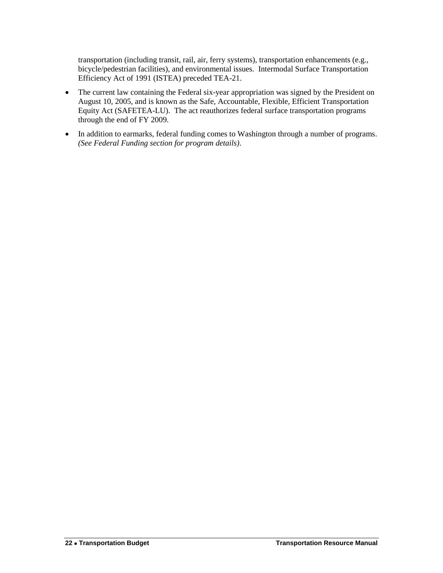transportation (including transit, rail, air, ferry systems), transportation enhancements (e.g., bicycle/pedestrian facilities), and environmental issues. Intermodal Surface Transportation Efficiency Act of 1991 (ISTEA) preceded TEA-21.

- The current law containing the Federal six-year appropriation was signed by the President on August 10, 2005, and is known as the Safe, Accountable, Flexible, Efficient Transportation Equity Act (SAFETEA-LU). The act reauthorizes federal surface transportation programs through the end of FY 2009.
- In addition to earmarks, federal funding comes to Washington through a number of programs. *(See Federal Funding section for program details)*.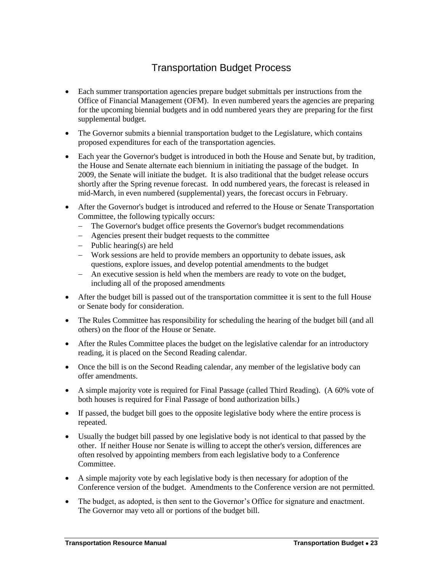## Transportation Budget Process

- <span id="page-12-0"></span> Each summer transportation agencies prepare budget submittals per instructions from the Office of Financial Management (OFM). In even numbered years the agencies are preparing for the upcoming biennial budgets and in odd numbered years they are preparing for the first supplemental budget.
- The Governor submits a biennial transportation budget to the Legislature, which contains proposed expenditures for each of the transportation agencies.
- Each year the Governor's budget is introduced in both the House and Senate but, by tradition, the House and Senate alternate each biennium in initiating the passage of the budget. In 2009, the Senate will initiate the budget. It is also traditional that the budget release occurs shortly after the Spring revenue forecast. In odd numbered years, the forecast is released in mid-March, in even numbered (supplemental) years, the forecast occurs in February.
- After the Governor's budget is introduced and referred to the House or Senate Transportation Committee, the following typically occurs:
	- The Governor's budget office presents the Governor's budget recommendations
	- Agencies present their budget requests to the committee
	- $-$  Public hearing(s) are held
	- Work sessions are held to provide members an opportunity to debate issues, ask questions, explore issues, and develop potential amendments to the budget
	- An executive session is held when the members are ready to vote on the budget, including all of the proposed amendments
- After the budget bill is passed out of the transportation committee it is sent to the full House or Senate body for consideration.
- The Rules Committee has responsibility for scheduling the hearing of the budget bill (and all others) on the floor of the House or Senate.
- After the Rules Committee places the budget on the legislative calendar for an introductory reading, it is placed on the Second Reading calendar.
- Once the bill is on the Second Reading calendar, any member of the legislative body can offer amendments.
- A simple majority vote is required for Final Passage (called Third Reading). (A 60% vote of both houses is required for Final Passage of bond authorization bills.)
- If passed, the budget bill goes to the opposite legislative body where the entire process is repeated.
- Usually the budget bill passed by one legislative body is not identical to that passed by the other. If neither House nor Senate is willing to accept the other's version, differences are often resolved by appointing members from each legislative body to a Conference Committee.
- A simple majority vote by each legislative body is then necessary for adoption of the Conference version of the budget. Amendments to the Conference version are not permitted.
- The budget, as adopted, is then sent to the Governor's Office for signature and enactment. The Governor may veto all or portions of the budget bill.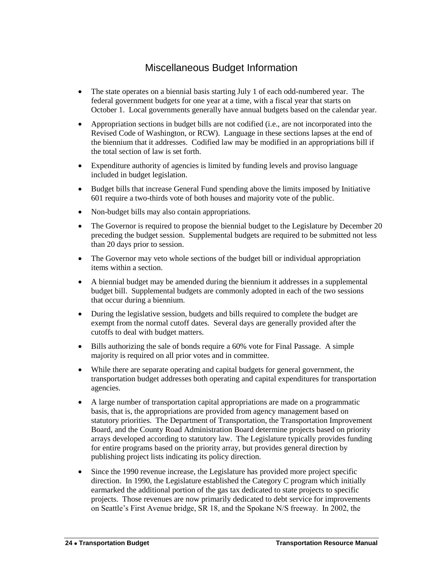## Miscellaneous Budget Information

- <span id="page-13-0"></span>• The state operates on a biennial basis starting July 1 of each odd-numbered year. The federal government budgets for one year at a time, with a fiscal year that starts on October 1. Local governments generally have annual budgets based on the calendar year.
- Appropriation sections in budget bills are not codified (i.e., are not incorporated into the Revised Code of Washington, or RCW). Language in these sections lapses at the end of the biennium that it addresses. Codified law may be modified in an appropriations bill if the total section of law is set forth.
- Expenditure authority of agencies is limited by funding levels and proviso language included in budget legislation.
- Budget bills that increase General Fund spending above the limits imposed by Initiative 601 require a two-thirds vote of both houses and majority vote of the public.
- Non-budget bills may also contain appropriations.
- The Governor is required to propose the biennial budget to the Legislature by December 20 preceding the budget session. Supplemental budgets are required to be submitted not less than 20 days prior to session.
- The Governor may veto whole sections of the budget bill or individual appropriation items within a section.
- A biennial budget may be amended during the biennium it addresses in a supplemental budget bill. Supplemental budgets are commonly adopted in each of the two sessions that occur during a biennium.
- During the legislative session, budgets and bills required to complete the budget are exempt from the normal cutoff dates. Several days are generally provided after the cutoffs to deal with budget matters.
- Bills authorizing the sale of bonds require a 60% vote for Final Passage. A simple majority is required on all prior votes and in committee.
- While there are separate operating and capital budgets for general government, the transportation budget addresses both operating and capital expenditures for transportation agencies.
- A large number of transportation capital appropriations are made on a programmatic basis, that is, the appropriations are provided from agency management based on statutory priorities. The Department of Transportation, the Transportation Improvement Board, and the County Road Administration Board determine projects based on priority arrays developed according to statutory law. The Legislature typically provides funding for entire programs based on the priority array, but provides general direction by publishing project lists indicating its policy direction.
- Since the 1990 revenue increase, the Legislature has provided more project specific direction. In 1990, the Legislature established the Category C program which initially earmarked the additional portion of the gas tax dedicated to state projects to specific projects. Those revenues are now primarily dedicated to debt service for improvements on Seattle's First Avenue bridge, SR 18, and the Spokane N/S freeway. In 2002, the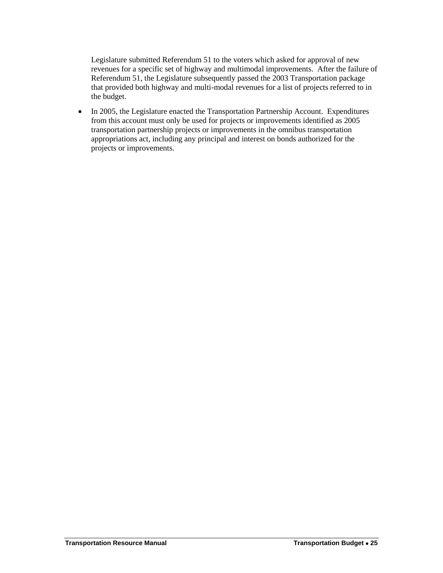Legislature submitted Referendum 51 to the voters which asked for approval of new revenues for a specific set of highway and multimodal improvements. After the failure of Referendum 51, the Legislature subsequently passed the 2003 Transportation package that provided both highway and multi-modal revenues for a list of projects referred to in the budget.

• In 2005, the Legislature enacted the Transportation Partnership Account. Expenditures from this account must only be used for projects or improvements identified as 2005 transportation partnership projects or improvements in the omnibus transportation appropriations act, including any principal and interest on bonds authorized for the projects or improvements.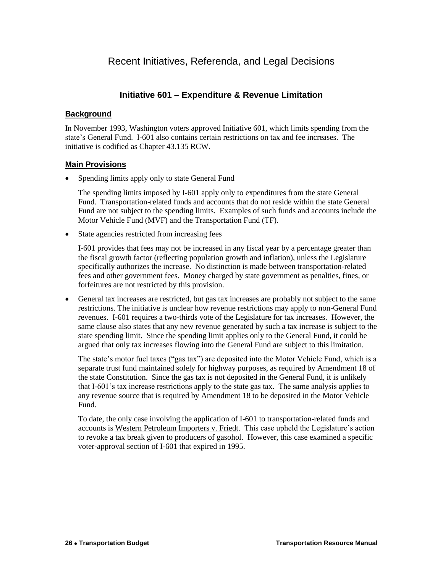## <span id="page-15-0"></span>Recent Initiatives, Referenda, and Legal Decisions

### **Initiative 601 – Expenditure & Revenue Limitation**

#### **Background**

In November 1993, Washington voters approved Initiative 601, which limits spending from the state's General Fund. I-601 also contains certain restrictions on tax and fee increases. The initiative is codified as Chapter 43.135 RCW.

### **Main Provisions**

Spending limits apply only to state General Fund

The spending limits imposed by I-601 apply only to expenditures from the state General Fund. Transportation-related funds and accounts that do not reside within the state General Fund are not subject to the spending limits. Examples of such funds and accounts include the Motor Vehicle Fund (MVF) and the Transportation Fund (TF).

State agencies restricted from increasing fees

I-601 provides that fees may not be increased in any fiscal year by a percentage greater than the fiscal growth factor (reflecting population growth and inflation), unless the Legislature specifically authorizes the increase. No distinction is made between transportation-related fees and other government fees. Money charged by state government as penalties, fines, or forfeitures are not restricted by this provision.

 General tax increases are restricted, but gas tax increases are probably not subject to the same restrictions. The initiative is unclear how revenue restrictions may apply to non-General Fund revenues. I-601 requires a two-thirds vote of the Legislature for tax increases. However, the same clause also states that any new revenue generated by such a tax increase is subject to the state spending limit. Since the spending limit applies only to the General Fund, it could be argued that only tax increases flowing into the General Fund are subject to this limitation.

The state's motor fuel taxes ("gas tax") are deposited into the Motor Vehicle Fund, which is a separate trust fund maintained solely for highway purposes, as required by Amendment 18 of the state Constitution. Since the gas tax is not deposited in the General Fund, it is unlikely that I-601's tax increase restrictions apply to the state gas tax. The same analysis applies to any revenue source that is required by Amendment 18 to be deposited in the Motor Vehicle Fund.

To date, the only case involving the application of I-601 to transportation-related funds and accounts is Western Petroleum Importers v. Friedt. This case upheld the Legislature's action to revoke a tax break given to producers of gasohol. However, this case examined a specific voter-approval section of I-601 that expired in 1995.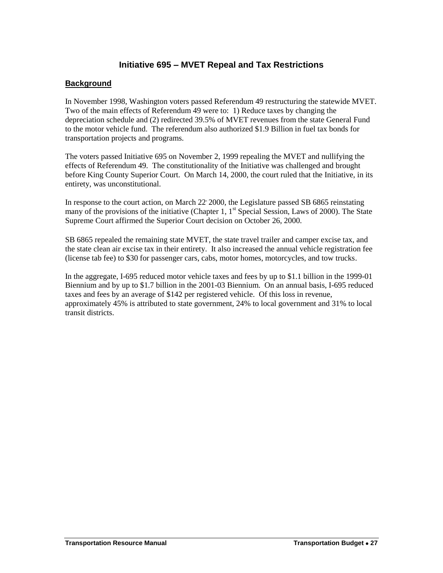## **Initiative 695 – MVET Repeal and Tax Restrictions**

### **Background**

In November 1998, Washington voters passed Referendum 49 restructuring the statewide MVET. Two of the main effects of Referendum 49 were to: 1) Reduce taxes by changing the depreciation schedule and (2) redirected 39.5% of MVET revenues from the state General Fund to the motor vehicle fund. The referendum also authorized \$1.9 Billion in fuel tax bonds for transportation projects and programs.

The voters passed Initiative 695 on November 2, 1999 repealing the MVET and nullifying the effects of Referendum 49. The constitutionality of the Initiative was challenged and brought before King County Superior Court. On March 14, 2000, the court ruled that the Initiative, in its entirety, was unconstitutional.

In response to the court action, on March 22 2000, the Legislature passed SB 6865 reinstating many of the provisions of the initiative (Chapter 1,  $1<sup>st</sup>$  Special Session, Laws of 2000). The State Supreme Court affirmed the Superior Court decision on October 26, 2000.

SB 6865 repealed the remaining state MVET, the state travel trailer and camper excise tax, and the state clean air excise tax in their entirety. It also increased the annual vehicle registration fee (license tab fee) to \$30 for passenger cars, cabs, motor homes, motorcycles, and tow trucks.

In the aggregate, I-695 reduced motor vehicle taxes and fees by up to \$1.1 billion in the 1999-01 Biennium and by up to \$1.7 billion in the 2001-03 Biennium. On an annual basis, I-695 reduced taxes and fees by an average of \$142 per registered vehicle. Of this loss in revenue, approximately 45% is attributed to state government, 24% to local government and 31% to local transit districts.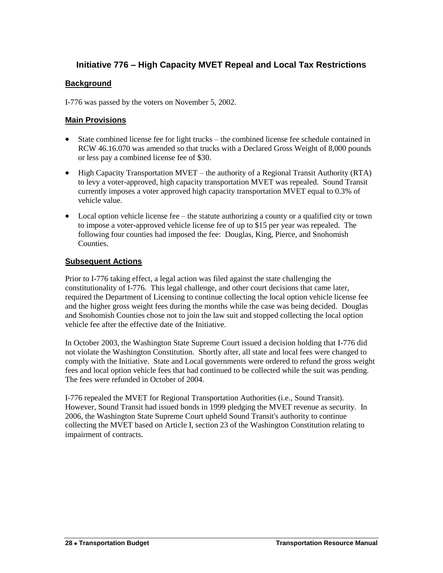## **Initiative 776 – High Capacity MVET Repeal and Local Tax Restrictions**

### **Background**

I-776 was passed by the voters on November 5, 2002.

#### **Main Provisions**

- State combined license fee for light trucks the combined license fee schedule contained in RCW 46.16.070 was amended so that trucks with a Declared Gross Weight of 8,000 pounds or less pay a combined license fee of \$30.
- High Capacity Transportation MVET the authority of a Regional Transit Authority (RTA) to levy a voter-approved, high capacity transportation MVET was repealed. Sound Transit currently imposes a voter approved high capacity transportation MVET equal to 0.3% of vehicle value.
- Local option vehicle license fee the statute authorizing a county or a qualified city or town to impose a voter-approved vehicle license fee of up to \$15 per year was repealed. The following four counties had imposed the fee: Douglas, King, Pierce, and Snohomish Counties.

#### **Subsequent Actions**

Prior to I-776 taking effect, a legal action was filed against the state challenging the constitutionality of I-776. This legal challenge, and other court decisions that came later, required the Department of Licensing to continue collecting the local option vehicle license fee and the higher gross weight fees during the months while the case was being decided. Douglas and Snohomish Counties chose not to join the law suit and stopped collecting the local option vehicle fee after the effective date of the Initiative.

In October 2003, the Washington State Supreme Court issued a decision holding that I-776 did not violate the Washington Constitution. Shortly after, all state and local fees were changed to comply with the Initiative. State and Local governments were ordered to refund the gross weight fees and local option vehicle fees that had continued to be collected while the suit was pending. The fees were refunded in October of 2004.

I-776 repealed the MVET for Regional Transportation Authorities (i.e., Sound Transit). However, Sound Transit had issued bonds in 1999 pledging the MVET revenue as security. In 2006, the Washington State Supreme Court upheld Sound Transit's authority to continue collecting the MVET based on Article I, section 23 of the Washington Constitution relating to impairment of contracts.